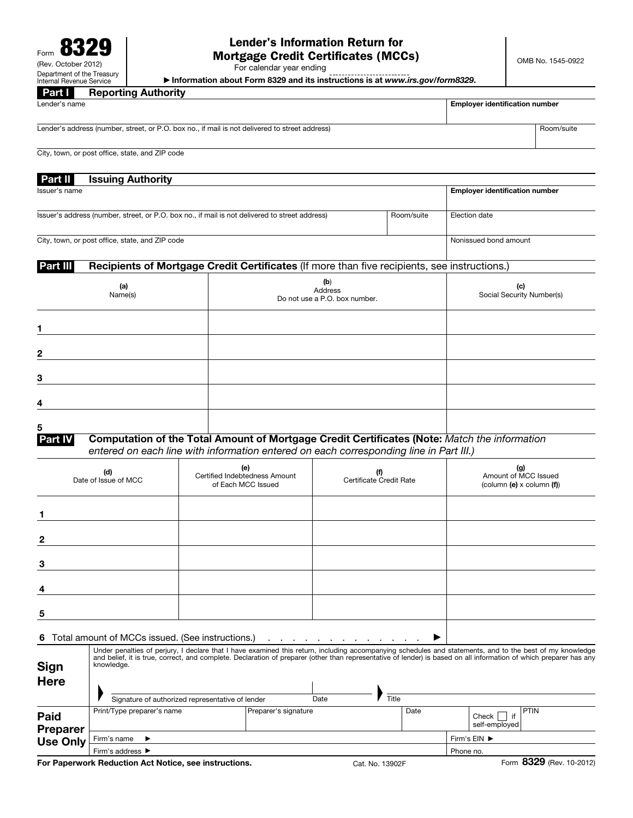# Lender's Information Return for Mortgage Credit Certificates (MCCs)

For calendar year ending

▶ Information about Form 8329 and its instructions is at *www.irs.gov/form8329*.

Part I Reporting Authority Lender's name **Employer identification number**  $\Box$  Employer identification number Lender's address (number, street, or P.O. box no., if mail is not delivered to street address) Room/suite

City, town, or post office, state, and ZIP code

| Part II       | <b>Issuing Authority</b> |                                       |
|---------------|--------------------------|---------------------------------------|
| Issuer's name |                          | <b>Employer identification number</b> |
|               |                          |                                       |

City, town, or post office, state, and ZIP code Nonissued bond amount

### Part III Recipients of Mortgage Credit Certificates (If more than five recipients, see instructions.)

Issuer's address (number, street, or P.O. box no., if mail is not delivered to street address) Room/suite Election date

| (a)<br>Name(s) | (b)<br>Address<br>Do not use a P.O. box number. | (c)<br>Social Security Number(s) |
|----------------|-------------------------------------------------|----------------------------------|
|                |                                                 |                                  |
| $\mathbf{2}$   |                                                 |                                  |
| 3              |                                                 |                                  |
| 4              |                                                 |                                  |
| 5              |                                                 |                                  |

# Part IV Computation of the Total Amount of Mortgage Credit Certificates (Note: *Match the information entered on each line with information entered on each corresponding line in Part III.)*

| (d)<br>Date of Issue of MCC | (e)<br>Certified Indebtedness Amount<br>of Each MCC Issued | (f)<br>Certificate Credit Rate | (g)<br>Amount of MCC Issued<br>(column $(e)$ x column $(f)$ ) |
|-----------------------------|------------------------------------------------------------|--------------------------------|---------------------------------------------------------------|
|                             |                                                            |                                |                                                               |
| $\mathbf 2$                 |                                                            |                                |                                                               |
| 3                           |                                                            |                                |                                                               |
| 4                           |                                                            |                                |                                                               |
| 5                           |                                                            |                                |                                                               |
|                             |                                                            |                                |                                                               |

#### 6 Total amount of MCCs issued. (See instructions.)  $\blacksquare$  . . . . . . . . . . . . . . .  $\blacktriangleright$

| <b>Sign</b><br><b>Here</b>                 | knowledge.                                                                     | Under penalties of perjury, I declare that I have examined this return, including accompanying schedules and statements, and to the best of my knowledge<br>and belief, it is true, correct, and complete. Declaration of preparer (other than representative of lender) is based on all information of which preparer has any |      |                                       |  |
|--------------------------------------------|--------------------------------------------------------------------------------|--------------------------------------------------------------------------------------------------------------------------------------------------------------------------------------------------------------------------------------------------------------------------------------------------------------------------------|------|---------------------------------------|--|
| Paid<br><b>Preparer</b><br><b>Use Only</b> | Signature of authorized representative of lender<br>Print/Type preparer's name | Title<br>Date<br>Preparer's signature                                                                                                                                                                                                                                                                                          | Date | <b>PTIN</b><br>Check<br>self-employed |  |
|                                            | Firm's name $\blacktriangleright$                                              | Firm's EIN ▶                                                                                                                                                                                                                                                                                                                   |      |                                       |  |
|                                            | Firm's address ▶                                                               |                                                                                                                                                                                                                                                                                                                                |      | Phone no.                             |  |

For Paperwork Reduction Act Notice, see instructions. Cat. No. 13902F Form 8329 (Rev. 10-2012)